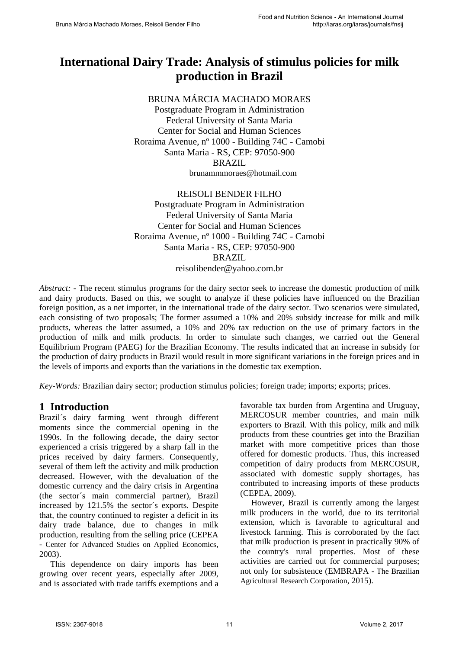# **International Dairy Trade: Analysis of stimulus policies for milk production in Brazil**

BRUNA MÁRCIA MACHADO MORAES Postgraduate Program in Administration Federal University of Santa Maria Center for Social and Human Sciences Roraima Avenue, nº 1000 - Building 74C - Camobi Santa Maria - RS, CEP: 97050-900 BRAZIL brunammmoraes@hotmail.com

REISOLI BENDER FILHO Postgraduate Program in Administration Federal University of Santa Maria Center for Social and Human Sciences Roraima Avenue, nº 1000 - Building 74C - Camobi Santa Maria - RS, CEP: 97050-900 BRAZIL reisolibender@yahoo.com.br

*Abstract:* - The recent stimulus programs for the dairy sector seek to increase the domestic production of milk and dairy products. Based on this, we sought to analyze if these policies have influenced on the Brazilian foreign position, as a net importer, in the international trade of the dairy sector. Two scenarios were simulated, each consisting of two proposals; The former assumed a 10% and 20% subsidy increase for milk and milk products, whereas the latter assumed, a 10% and 20% tax reduction on the use of primary factors in the production of milk and milk products. In order to simulate such changes, we carried out the General Equilibrium Program (PAEG) for the Brazilian Economy. The results indicated that an increase in subsidy for the production of dairy products in Brazil would result in more significant variations in the foreign prices and in the levels of imports and exports than the variations in the domestic tax exemption.

*Key-Words:* Brazilian dairy sector; production stimulus policies; foreign trade; imports; exports; prices.

### **1 Introduction**

Brazil´s dairy farming went through different moments since the commercial opening in the 1990s. In the following decade, the dairy sector experienced a crisis triggered by a sharp fall in the prices received by dairy farmers. Consequently, several of them left the activity and milk production decreased. However, with the devaluation of the domestic currency and the dairy crisis in Argentina (the sector´s main commercial partner), Brazil increased by 121.5% the sector´s exports. Despite that, the country continued to register a deficit in its dairy trade balance, due to changes in milk production, resulting from the selling price (CEPEA - Center for Advanced Studies on Applied Economics, 2003).

This dependence on dairy imports has been growing over recent years, especially after 2009, and is associated with trade tariffs exemptions and a favorable tax burden from Argentina and Uruguay, MERCOSUR member countries, and main milk exporters to Brazil. With this policy, milk and milk products from these countries get into the Brazilian market with more competitive prices than those offered for domestic products. Thus, this increased competition of dairy products from MERCOSUR, associated with domestic supply shortages, has contributed to increasing imports of these products (CEPEA, 2009).

However, Brazil is currently among the largest milk producers in the world, due to its territorial extension, which is favorable to agricultural and livestock farming. This is corroborated by the fact that milk production is present in practically 90% of the country's rural properties. Most of these activities are carried out for commercial purposes; not only for subsistence (EMBRAPA - The Brazilian Agricultural Research Corporation, 2015).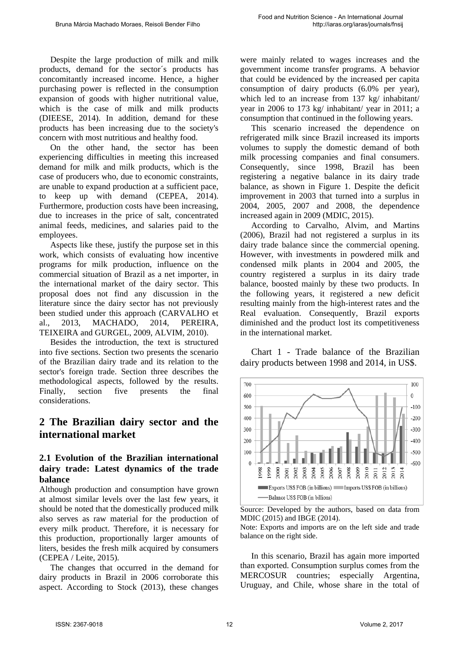Despite the large production of milk and milk products, demand for the sector´s products has concomitantly increased income. Hence, a higher purchasing power is reflected in the consumption expansion of goods with higher nutritional value, which is the case of milk and milk products (DIEESE, 2014). In addition, demand for these products has been increasing due to the society's concern with most nutritious and healthy food.

On the other hand, the sector has been experiencing difficulties in meeting this increased demand for milk and milk products, which is the case of producers who, due to economic constraints, are unable to expand production at a sufficient pace, to keep up with demand (CEPEA, 2014). Furthermore, production costs have been increasing, due to increases in the price of salt, concentrated animal feeds, medicines, and salaries paid to the employees.

Aspects like these, justify the purpose set in this work, which consists of evaluating how incentive programs for milk production, influence on the commercial situation of Brazil as a net importer, in the international market of the dairy sector. This proposal does not find any discussion in the literature since the dairy sector has not previously been studied under this approach (CARVALHO et al., 2013, MACHADO, 2014, PEREIRA, TEIXEIRA and GURGEL, 2009, ALVIM, 2010).

Besides the introduction, the text is structured into five sections. Section two presents the scenario of the Brazilian dairy trade and its relation to the sector's foreign trade. Section three describes the methodological aspects, followed by the results. Finally, section five presents the final considerations.

# **2 The Brazilian dairy sector and the international market**

#### **2.1 Evolution of the Brazilian international dairy trade: Latest dynamics of the trade balance**

Although production and consumption have grown at almost similar levels over the last few years, it should be noted that the domestically produced milk also serves as raw material for the production of every milk product. Therefore, it is necessary for this production, proportionally larger amounts of liters, besides the fresh milk acquired by consumers (CEPEA / Leite, 2015).

The changes that occurred in the demand for dairy products in Brazil in 2006 corroborate this aspect. According to Stock (2013), these changes were mainly related to wages increases and the government income transfer programs. A behavior that could be evidenced by the increased per capita consumption of dairy products (6.0% per year), which led to an increase from 137 kg/ inhabitant/ year in 2006 to 173 kg/ inhabitant/ year in 2011; a consumption that continued in the following years.

This scenario increased the dependence on refrigerated milk since Brazil increased its imports volumes to supply the domestic demand of both milk processing companies and final consumers. Consequently, since 1998, Brazil has been registering a negative balance in its dairy trade balance, as shown in Figure 1. Despite the deficit improvement in 2003 that turned into a surplus in 2004, 2005, 2007 and 2008, the dependence increased again in 2009 (MDIC, 2015).

According to Carvalho, Alvim, and Martins (2006), Brazil had not registered a surplus in its dairy trade balance since the commercial opening. However, with investments in powdered milk and condensed milk plants in 2004 and 2005, the country registered a surplus in its dairy trade balance, boosted mainly by these two products. In the following years, it registered a new deficit resulting mainly from the high-interest rates and the Real evaluation. Consequently, Brazil exports diminished and the product lost its competitiveness in the international market.

Chart 1 - Trade balance of the Brazilian dairy products between 1998 and 2014, in US\$.



Source: Developed by the authors, based on data from MDIC (2015) and IBGE (2014).

Note: Exports and imports are on the left side and trade balance on the right side.

 In this scenario, Brazil has again more imported than exported. Consumption surplus comes from the MERCOSUR countries; especially Argentina, Uruguay, and Chile, whose share in the total of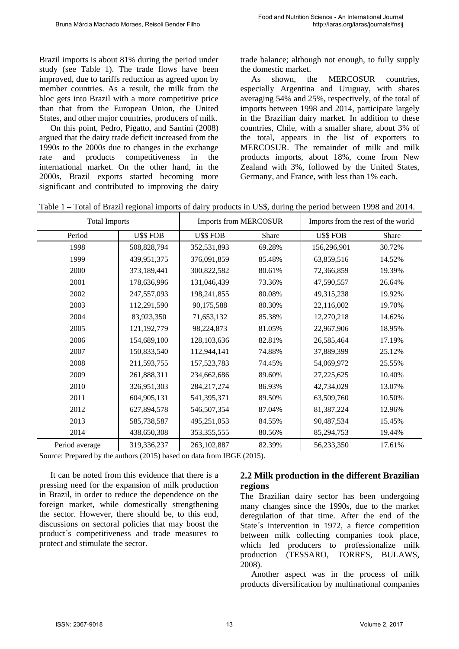Brazil imports is about 81% during the period under study (see Table 1). The trade flows have been improved, due to tariffs reduction as agreed upon by member countries. As a result, the milk from the bloc gets into Brazil with a more competitive price than that from the European Union, the United States, and other major countries, producers of milk.

 On this point, Pedro, Pigatto, and Santini (2008) argued that the dairy trade deficit increased from the 1990s to the 2000s due to changes in the exchange rate and products competitiveness in the international market. On the other hand, in the 2000s, Brazil exports started becoming more significant and contributed to improving the dairy trade balance; although not enough, to fully supply the domestic market.

As shown, the MERCOSUR countries, especially Argentina and Uruguay, with shares averaging 54% and 25%, respectively, of the total of imports between 1998 and 2014, participate largely in the Brazilian dairy market. In addition to these countries, Chile, with a smaller share, about 3% of the total, appears in the list of exporters to MERCOSUR. The remainder of milk and milk products imports, about 18%, come from New Zealand with 3%, followed by the United States, Germany, and France, with less than 1% each.

| Table 1 – Total of Brazil regional imports of dairy products in US\$, during the period between 1998 and 2014. |  |  |  |
|----------------------------------------------------------------------------------------------------------------|--|--|--|
|----------------------------------------------------------------------------------------------------------------|--|--|--|

| <b>Total Imports</b> |                  | <b>Imports from MERCOSUR</b> |        |                  | Imports from the rest of the world |  |  |  |
|----------------------|------------------|------------------------------|--------|------------------|------------------------------------|--|--|--|
| Period               | <b>U\$\$ FOB</b> | U\$\$ FOB                    | Share  | <b>U\$\$ FOB</b> | Share                              |  |  |  |
| 1998                 | 508,828,794      | 352,531,893                  | 69.28% | 156,296,901      | 30.72%                             |  |  |  |
| 1999                 | 439,951,375      | 376,091,859                  | 85.48% | 63,859,516       | 14.52%                             |  |  |  |
| 2000                 | 373,189,441      | 300,822,582                  | 80.61% | 72,366,859       | 19.39%                             |  |  |  |
| 2001                 | 178,636,996      | 131,046,439                  | 73.36% | 47,590,557       | 26.64%                             |  |  |  |
| 2002                 | 247,557,093      | 198,241,855                  | 80.08% | 49,315,238       | 19.92%                             |  |  |  |
| 2003                 | 112,291,590      | 90,175,588                   | 80.30% | 22,116,002       | 19.70%                             |  |  |  |
| 2004                 | 83,923,350       | 71,653,132                   | 85.38% | 12,270,218       | 14.62%                             |  |  |  |
| 2005                 | 121, 192, 779    | 98,224,873                   | 81.05% | 22,967,906       | 18.95%                             |  |  |  |
| 2006                 | 154,689,100      | 128,103,636                  | 82.81% | 26,585,464       | 17.19%                             |  |  |  |
| 2007                 | 150,833,540      | 112,944,141                  | 74.88% | 37,889,399       | 25.12%                             |  |  |  |
| 2008                 | 211,593,755      | 157,523,783                  | 74.45% | 54,069,972       | 25.55%                             |  |  |  |
| 2009                 | 261,888,311      | 234,662,686                  | 89.60% | 27,225,625       | 10.40%                             |  |  |  |
| 2010                 | 326,951,303      | 284, 217, 274                | 86.93% | 42,734,029       | 13.07%                             |  |  |  |
| 2011                 | 604,905,131      | 541,395,371                  | 89.50% | 63,509,760       | 10.50%                             |  |  |  |
| 2012                 | 627,894,578      | 546,507,354                  | 87.04% | 81,387,224       | 12.96%                             |  |  |  |
| 2013                 | 585,738,587      | 495,251,053                  | 84.55% | 90,487,534       | 15.45%                             |  |  |  |
| 2014                 | 438,650,308      | 353, 355, 555                | 80.56% | 85,294,753       | 19.44%                             |  |  |  |
| Period average       | 319,336,237      | 263,102,887                  | 82.39% | 56,233,350       | 17.61%                             |  |  |  |

Source: Prepared by the authors (2015) based on data from IBGE (2015).

It can be noted from this evidence that there is a pressing need for the expansion of milk production in Brazil, in order to reduce the dependence on the foreign market, while domestically strengthening the sector. However, there should be, to this end, discussions on sectoral policies that may boost the product´s competitiveness and trade measures to protect and stimulate the sector.

#### **2.2 Milk production in the different Brazilian regions**

The Brazilian dairy sector has been undergoing many changes since the 1990s, due to the market deregulation of that time. After the end of the State´s intervention in 1972, a fierce competition between milk collecting companies took place, which led producers to professionalize milk production (TESSARO, TORRES, BULAWS, 2008).

Another aspect was in the process of milk products diversification by multinational companies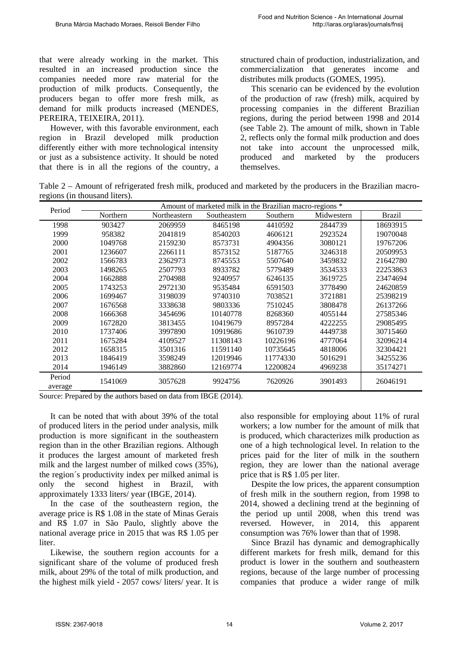that were already working in the market. This resulted in an increased production since the companies needed more raw material for the production of milk products. Consequently, the producers began to offer more fresh milk, as demand for milk products increased (MENDES, PEREIRA, TEIXEIRA, 2011).

However, with this favorable environment, each region in Brazil developed milk production differently either with more technological intensity or just as a subsistence activity. It should be noted that there is in all the regions of the country, a structured chain of production, industrialization, and commercialization that generates income and distributes milk products (GOMES, 1995).

This scenario can be evidenced by the evolution of the production of raw (fresh) milk, acquired by processing companies in the different Brazilian regions, during the period between 1998 and 2014 (see Table 2). The amount of milk, shown in Table 2, reflects only the formal milk production and does not take into account the unprocessed milk, produced and marketed by the producers themselves.

Table 2 – Amount of refrigerated fresh milk, produced and marketed by the producers in the Brazilian macroregions (in thousand liters).

|                   | Amount of marketed milk in the Brazilian macro-regions * |              |              |          |            |               |  |  |  |  |  |  |
|-------------------|----------------------------------------------------------|--------------|--------------|----------|------------|---------------|--|--|--|--|--|--|
| Period            | Northern                                                 | Northeastern | Southeastern | Southern | Midwestern | <b>Brazil</b> |  |  |  |  |  |  |
| 1998              | 903427                                                   | 2069959      | 8465198      | 4410592  | 2844739    | 18693915      |  |  |  |  |  |  |
| 1999              | 958382                                                   | 2041819      | 8540203      | 4606121  | 2923524    | 19070048      |  |  |  |  |  |  |
| 2000              | 1049768                                                  | 2159230      | 8573731      | 4904356  | 3080121    | 19767206      |  |  |  |  |  |  |
| 2001              | 1236607                                                  | 2266111      | 8573152      | 5187765  | 3246318    | 20509953      |  |  |  |  |  |  |
| 2002              | 1566783                                                  | 2362973      | 8745553      | 5507640  | 3459832    | 21642780      |  |  |  |  |  |  |
| 2003              | 1498265                                                  | 2507793      | 8933782      | 5779489  | 3534533    | 22253863      |  |  |  |  |  |  |
| 2004              | 1662888                                                  | 2704988      | 9240957      | 6246135  | 3619725    | 23474694      |  |  |  |  |  |  |
| 2005              | 1743253                                                  | 2972130      | 9535484      | 6591503  | 3778490    | 24620859      |  |  |  |  |  |  |
| 2006              | 1699467                                                  | 3198039      | 9740310      | 7038521  | 3721881    | 25398219      |  |  |  |  |  |  |
| 2007              | 1676568                                                  | 3338638      | 9803336      | 7510245  | 3808478    | 26137266      |  |  |  |  |  |  |
| 2008              | 1666368                                                  | 3454696      | 10140778     | 8268360  | 4055144    | 27585346      |  |  |  |  |  |  |
| 2009              | 1672820                                                  | 3813455      | 10419679     | 8957284  | 4222255    | 29085495      |  |  |  |  |  |  |
| 2010              | 1737406                                                  | 3997890      | 10919686     | 9610739  | 4449738    | 30715460      |  |  |  |  |  |  |
| 2011              | 1675284                                                  | 4109527      | 11308143     | 10226196 | 4777064    | 32096214      |  |  |  |  |  |  |
| 2012              | 1658315                                                  | 3501316      | 11591140     | 10735645 | 4818006    | 32304421      |  |  |  |  |  |  |
| 2013              | 1846419                                                  | 3598249      | 12019946     | 11774330 | 5016291    | 34255236      |  |  |  |  |  |  |
| 2014              | 1946149                                                  | 3882860      | 12169774     | 12200824 | 4969238    | 35174271      |  |  |  |  |  |  |
| Period<br>average | 1541069                                                  | 3057628      | 9924756      | 7620926  | 3901493    | 26046191      |  |  |  |  |  |  |

Source: Prepared by the authors based on data from IBGE (2014).

It can be noted that with about 39% of the total of produced liters in the period under analysis, milk production is more significant in the southeastern region than in the other Brazilian regions. Although it produces the largest amount of marketed fresh milk and the largest number of milked cows (35%), the region´s productivity index per milked animal is only the second highest in Brazil, with approximately 1333 liters/ year (IBGE, 2014).

In the case of the southeastern region, the average price is R\$ 1.08 in the state of Minas Gerais and R\$ 1.07 in São Paulo, slightly above the national average price in 2015 that was R\$ 1.05 per liter.

Likewise, the southern region accounts for a significant share of the volume of produced fresh milk, about 29% of the total of milk production, and the highest milk yield - 2057 cows/ liters/ year. It is also responsible for employing about 11% of rural workers; a low number for the amount of milk that is produced, which characterizes milk production as one of a high technological level. In relation to the prices paid for the liter of milk in the southern region, they are lower than the national average price that is R\$ 1.05 per liter.

Despite the low prices, the apparent consumption of fresh milk in the southern region, from 1998 to 2014, showed a declining trend at the beginning of the period up until 2008, when this trend was reversed. However, in 2014, this apparent consumption was 76% lower than that of 1998.

Since Brazil has dynamic and demographically different markets for fresh milk, demand for this product is lower in the southern and southeastern regions, because of the large number of processing companies that produce a wider range of milk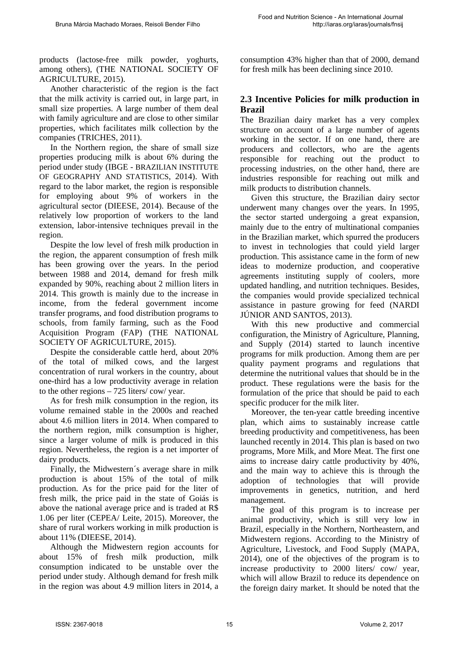products (lactose-free milk powder, yoghurts, among others), (THE NATIONAL SOCIETY OF AGRICULTURE, 2015).

Another characteristic of the region is the fact that the milk activity is carried out, in large part, in small size properties. A large number of them deal with family agriculture and are close to other similar properties, which facilitates milk collection by the companies (TRICHES, 2011).

In the Northern region, the share of small size properties producing milk is about 6% during the period under study (IBGE - BRAZILIAN INSTITUTE OF GEOGRAPHY AND STATISTICS, 2014). With regard to the labor market, the region is responsible for employing about 9% of workers in the agricultural sector (DIEESE, 2014). Because of the relatively low proportion of workers to the land extension, labor-intensive techniques prevail in the region.

Despite the low level of fresh milk production in the region, the apparent consumption of fresh milk has been growing over the years. In the period between 1988 and 2014, demand for fresh milk expanded by 90%, reaching about 2 million liters in 2014. This growth is mainly due to the increase in income, from the federal government income transfer programs, and food distribution programs to schools, from family farming, such as the Food Acquisition Program (FAP) (THE NATIONAL SOCIETY OF AGRICULTURE, 2015).

Despite the considerable cattle herd, about 20% of the total of milked cows, and the largest concentration of rural workers in the country, about one-third has a low productivity average in relation to the other regions – 725 liters/ cow/ year.

As for fresh milk consumption in the region, its volume remained stable in the 2000s and reached about 4.6 million liters in 2014. When compared to the northern region, milk consumption is higher, since a larger volume of milk is produced in this region. Nevertheless, the region is a net importer of dairy products.

Finally, the Midwestern´s average share in milk production is about 15% of the total of milk production. As for the price paid for the liter of fresh milk, the price paid in the state of Goiás is above the national average price and is traded at R\$ 1.06 per liter (CEPEA/ Leite, 2015). Moreover, the share of rural workers working in milk production is about 11% (DIEESE, 2014).

Although the Midwestern region accounts for about 15% of fresh milk production, milk consumption indicated to be unstable over the period under study. Although demand for fresh milk in the region was about 4.9 million liters in 2014, a consumption 43% higher than that of 2000, demand for fresh milk has been declining since 2010.

### **2.3 Incentive Policies for milk production in Brazil**

The Brazilian dairy market has a very complex structure on account of a large number of agents working in the sector. If on one hand, there are producers and collectors, who are the agents responsible for reaching out the product to processing industries, on the other hand, there are industries responsible for reaching out milk and milk products to distribution channels.

Given this structure, the Brazilian dairy sector underwent many changes over the years. In 1995, the sector started undergoing a great expansion, mainly due to the entry of multinational companies in the Brazilian market, which spurred the producers to invest in technologies that could yield larger production. This assistance came in the form of new ideas to modernize production, and cooperative agreements instituting supply of coolers, more updated handling, and nutrition techniques. Besides, the companies would provide specialized technical assistance in pasture growing for feed (NARDI JÚNIOR AND SANTOS, 2013).

With this new productive and commercial configuration, the Ministry of Agriculture, Planning, and Supply (2014) started to launch incentive programs for milk production. Among them are per quality payment programs and regulations that determine the nutritional values that should be in the product. These regulations were the basis for the formulation of the price that should be paid to each specific producer for the milk liter.

Moreover, the ten-year cattle breeding incentive plan, which aims to sustainably increase cattle breeding productivity and competitiveness, has been launched recently in 2014. This plan is based on two programs, More Milk, and More Meat. The first one aims to increase dairy cattle productivity by 40%, and the main way to achieve this is through the adoption of technologies that will provide improvements in genetics, nutrition, and herd management.

The goal of this program is to increase per animal productivity, which is still very low in Brazil, especially in the Northern, Northeastern, and Midwestern regions. According to the Ministry of Agriculture, Livestock, and Food Supply (MAPA, 2014), one of the objectives of the program is to increase productivity to 2000 liters/ cow/ year, which will allow Brazil to reduce its dependence on the foreign dairy market. It should be noted that the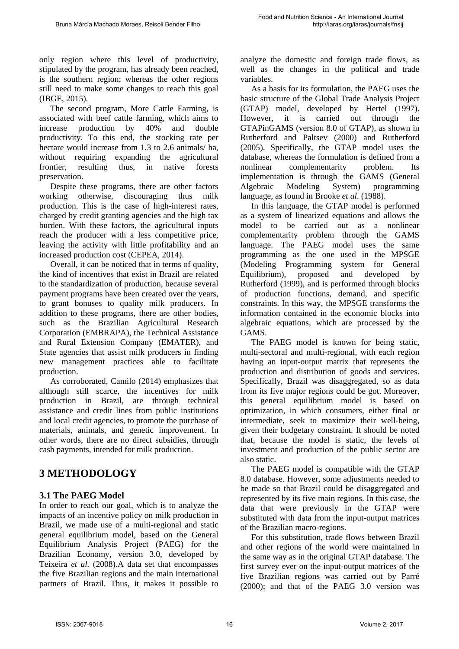only region where this level of productivity, stipulated by the program, has already been reached, is the southern region; whereas the other regions still need to make some changes to reach this goal (IBGE, 2015).

The second program, More Cattle Farming, is associated with beef cattle farming, which aims to increase production by 40% and double productivity. To this end, the stocking rate per hectare would increase from 1.3 to 2.6 animals/ ha, without requiring expanding the agricultural frontier, resulting thus, in native forests preservation.

Despite these programs, there are other factors working otherwise, discouraging thus milk production. This is the case of high-interest rates, charged by credit granting agencies and the high tax burden. With these factors, the agricultural inputs reach the producer with a less competitive price, leaving the activity with little profitability and an increased production cost (CEPEA, 2014).

Overall, it can be noticed that in terms of quality, the kind of incentives that exist in Brazil are related to the standardization of production, because several payment programs have been created over the years, to grant bonuses to quality milk producers. In addition to these programs, there are other bodies, such as the Brazilian Agricultural Research Corporation (EMBRAPA), the Technical Assistance and Rural Extension Company (EMATER), and State agencies that assist milk producers in finding new management practices able to facilitate production.

As corroborated, Camilo (2014) emphasizes that although still scarce, the incentives for milk production in Brazil, are through technical assistance and credit lines from public institutions and local credit agencies, to promote the purchase of materials, animals, and genetic improvement. In other words, there are no direct subsidies, through cash payments, intended for milk production.

# **3 METHODOLOGY**

#### **3.1 The PAEG Model**

In order to reach our goal, which is to analyze the impacts of an incentive policy on milk production in Brazil, we made use of a multi-regional and static general equilibrium model, based on the General Equilibrium Analysis Project (PAEG) for the Brazilian Economy, version 3.0, developed by Teixeira *et al.* (2008).A data set that encompasses the five Brazilian regions and the main international partners of Brazil. Thus, it makes it possible to analyze the domestic and foreign trade flows, as well as the changes in the political and trade variables.

As a basis for its formulation, the PAEG uses the basic structure of the Global Trade Analysis Project (GTAP) model, developed by Hertel (1997). However, it is carried out through the GTAPinGAMS (version 8.0 of GTAP), as shown in Rutherford and Paltsev (2000) and Rutherford (2005). Specifically, the GTAP model uses the database, whereas the formulation is defined from a nonlinear complementarity problem. Its implementation is through the GAMS (General Algebraic Modeling System) programming language, as found in Brooke *et al*. (1988).

In this language, the GTAP model is performed as a system of linearized equations and allows the model to be carried out as a nonlinear complementarity problem through the GAMS language. The PAEG model uses the same programming as the one used in the MPSGE (Modeling Programming system for General Equilibrium), proposed and developed by Rutherford (1999), and is performed through blocks of production functions, demand, and specific constraints. In this way, the MPSGE transforms the information contained in the economic blocks into algebraic equations, which are processed by the GAMS.

The PAEG model is known for being static, multi-sectoral and multi-regional, with each region having an input-output matrix that represents the production and distribution of goods and services. Specifically, Brazil was disaggregated, so as data from its five major regions could be got. Moreover, this general equilibrium model is based on optimization, in which consumers, either final or intermediate, seek to maximize their well-being, given their budgetary constraint. It should be noted that, because the model is static, the levels of investment and production of the public sector are also static.

The PAEG model is compatible with the GTAP 8.0 database. However, some adjustments needed to be made so that Brazil could be disaggregated and represented by its five main regions. In this case, the data that were previously in the GTAP were substituted with data from the input-output matrices of the Brazilian macro-regions.

For this substitution, trade flows between Brazil and other regions of the world were maintained in the same way as in the original GTAP database. The first survey ever on the input-output matrices of the five Brazilian regions was carried out by Parré (2000); and that of the PAEG 3.0 version was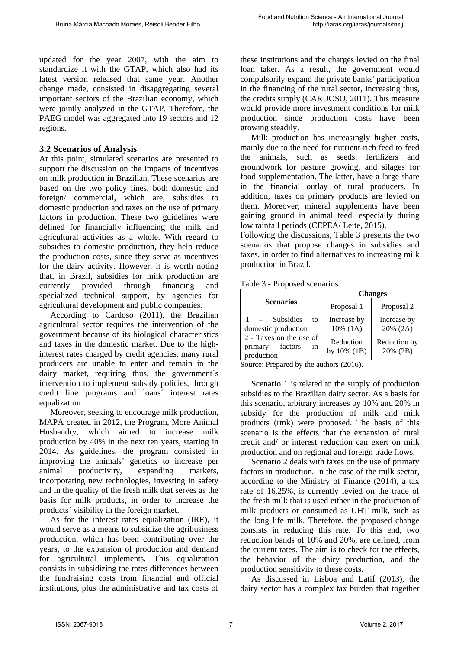updated for the year 2007, with the aim to standardize it with the GTAP, which also had its latest version released that same year. Another change made, consisted in disaggregating several important sectors of the Brazilian economy, which were jointly analyzed in the GTAP. Therefore, the PAEG model was aggregated into 19 sectors and 12 regions.

#### **3.2 Scenarios of Analysis**

At this point, simulated scenarios are presented to support the discussion on the impacts of incentives on milk production in Brazilian. These scenarios are based on the two policy lines, both domestic and foreign/ commercial, which are, subsidies to domestic production and taxes on the use of primary factors in production. These two guidelines were defined for financially influencing the milk and agricultural activities as a whole. With regard to subsidies to domestic production, they help reduce the production costs, since they serve as incentives for the dairy activity. However, it is worth noting that, in Brazil, subsidies for milk production are currently provided through financing and specialized technical support, by agencies for agricultural development and public companies.

According to Cardoso (2011), the Brazilian agricultural sector requires the intervention of the government because of its biological characteristics and taxes in the domestic market. Due to the highinterest rates charged by credit agencies, many rural producers are unable to enter and remain in the dairy market, requiring thus, the government's intervention to implement subsidy policies, through credit line programs and loans´ interest rates equalization.

Moreover, seeking to encourage milk production, MAPA created in 2012, the Program, More Animal Husbandry, which aimed to increase milk production by 40% in the next ten years, starting in 2014. As guidelines, the program consisted in improving the animals' genetics to increase per animal productivity, expanding markets, incorporating new technologies, investing in safety and in the quality of the fresh milk that serves as the basis for milk products, in order to increase the products´ visibility in the foreign market.

As for the interest rates equalization (IRE), it would serve as a means to subsidize the agribusiness production, which has been contributing over the years, to the expansion of production and demand for agricultural implements. This equalization consists in subsidizing the rates differences between the fundraising costs from financial and official institutions, plus the administrative and tax costs of these institutions and the charges levied on the final loan taker. As a result, the government would compulsorily expand the private banks' participation in the financing of the rural sector, increasing thus, the credits supply (CARDOSO, 2011). This measure would provide more investment conditions for milk production since production costs have been growing steadily.

Milk production has increasingly higher costs, mainly due to the need for nutrient-rich feed to feed the animals, such as seeds, fertilizers and groundwork for pasture growing, and silages for food supplementation. The latter, have a large share in the financial outlay of rural producers. In addition, taxes on primary products are levied on them. Moreover, mineral supplements have been gaining ground in animal feed, especially during low rainfall periods (CEPEA/ Leite, 2015).

Following the discussions, Table 3 presents the two scenarios that propose changes in subsidies and taxes, in order to find alternatives to increasing milk production in Brazil.

| Table 3 - Proposed scenarios |  |  |
|------------------------------|--|--|
|------------------------------|--|--|

|                                                                   | <b>Changes</b>              |                          |  |  |  |  |  |
|-------------------------------------------------------------------|-----------------------------|--------------------------|--|--|--|--|--|
| <b>Scenarios</b>                                                  | Proposal 1                  | Proposal 2               |  |  |  |  |  |
| <b>Subsidies</b><br>to<br>domestic production                     | Increase by<br>10% (1A)     | Increase by<br>20% (2A)  |  |  |  |  |  |
| 2 - Taxes on the use of<br>primary<br>in<br>factors<br>production | Reduction<br>by $10\%$ (1B) | Reduction by<br>20% (2B) |  |  |  |  |  |

Source: Prepared by the authors (2016).

Scenario 1 is related to the supply of production subsidies to the Brazilian dairy sector. As a basis for this scenario, arbitrary increases by 10% and 20% in subsidy for the production of milk and milk products (rmk) were proposed. The basis of this scenario is the effects that the expansion of rural credit and/ or interest reduction can exert on milk production and on regional and foreign trade flows.

Scenario 2 deals with taxes on the use of primary factors in production. In the case of the milk sector, according to the Ministry of Finance (2014), a tax rate of 16.25%, is currently levied on the trade of the fresh milk that is used either in the production of milk products or consumed as UHT milk, such as the long life milk. Therefore, the proposed change consists in reducing this rate. To this end, two reduction bands of 10% and 20%, are defined, from the current rates. The aim is to check for the effects, the behavior of the dairy production, and the production sensitivity to these costs.

As discussed in Lisboa and Latif (2013), the dairy sector has a complex tax burden that together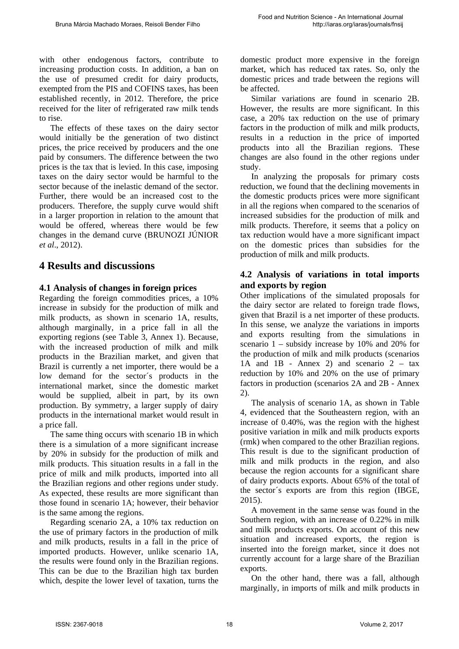with other endogenous factors, contribute to increasing production costs. In addition, a ban on the use of presumed credit for dairy products, exempted from the PIS and COFINS taxes, has been established recently, in 2012. Therefore, the price received for the liter of refrigerated raw milk tends to rise.

The effects of these taxes on the dairy sector would initially be the generation of two distinct prices, the price received by producers and the one paid by consumers. The difference between the two prices is the tax that is levied. In this case, imposing taxes on the dairy sector would be harmful to the sector because of the inelastic demand of the sector. Further, there would be an increased cost to the producers. Therefore, the supply curve would shift in a larger proportion in relation to the amount that would be offered, whereas there would be few changes in the demand curve (BRUNOZI JÚNIOR *et al*., 2012).

## **4 Results and discussions**

#### **4.1 Analysis of changes in foreign prices**

Regarding the foreign commodities prices, a 10% increase in subsidy for the production of milk and milk products, as shown in scenario 1A, results, although marginally, in a price fall in all the exporting regions (see Table 3, Annex 1). Because, with the increased production of milk and milk products in the Brazilian market, and given that Brazil is currently a net importer, there would be a low demand for the sector´s products in the international market, since the domestic market would be supplied, albeit in part, by its own production. By symmetry, a larger supply of dairy products in the international market would result in a price fall.

The same thing occurs with scenario 1B in which there is a simulation of a more significant increase by 20% in subsidy for the production of milk and milk products. This situation results in a fall in the price of milk and milk products, imported into all the Brazilian regions and other regions under study. As expected, these results are more significant than those found in scenario 1A; however, their behavior is the same among the regions.

Regarding scenario 2A, a 10% tax reduction on the use of primary factors in the production of milk and milk products, results in a fall in the price of imported products. However, unlike scenario 1A, the results were found only in the Brazilian regions. This can be due to the Brazilian high tax burden which, despite the lower level of taxation, turns the domestic product more expensive in the foreign market, which has reduced tax rates. So, only the domestic prices and trade between the regions will be affected.

Similar variations are found in scenario 2B. However, the results are more significant. In this case, a 20% tax reduction on the use of primary factors in the production of milk and milk products, results in a reduction in the price of imported products into all the Brazilian regions. These changes are also found in the other regions under study.

In analyzing the proposals for primary costs reduction, we found that the declining movements in the domestic products prices were more significant in all the regions when compared to the scenarios of increased subsidies for the production of milk and milk products. Therefore, it seems that a policy on tax reduction would have a more significant impact on the domestic prices than subsidies for the production of milk and milk products.

#### **4.2 Analysis of variations in total imports and exports by region**

Other implications of the simulated proposals for the dairy sector are related to foreign trade flows, given that Brazil is a net importer of these products. In this sense, we analyze the variations in imports and exports resulting from the simulations in scenario 1 – subsidy increase by 10% and 20% for the production of milk and milk products (scenarios 1A and 1B - Annex 2) and scenario  $2 - \tan x$ reduction by 10% and 20% on the use of primary factors in production (scenarios 2A and 2B - Annex 2).

The analysis of scenario 1A, as shown in Table 4, evidenced that the Southeastern region, with an increase of 0.40%, was the region with the highest positive variation in milk and milk products exports (rmk) when compared to the other Brazilian regions. This result is due to the significant production of milk and milk products in the region, and also because the region accounts for a significant share of dairy products exports. About 65% of the total of the sector´s exports are from this region (IBGE, 2015).

A movement in the same sense was found in the Southern region, with an increase of 0.22% in milk and milk products exports. On account of this new situation and increased exports, the region is inserted into the foreign market, since it does not currently account for a large share of the Brazilian exports.

On the other hand, there was a fall, although marginally, in imports of milk and milk products in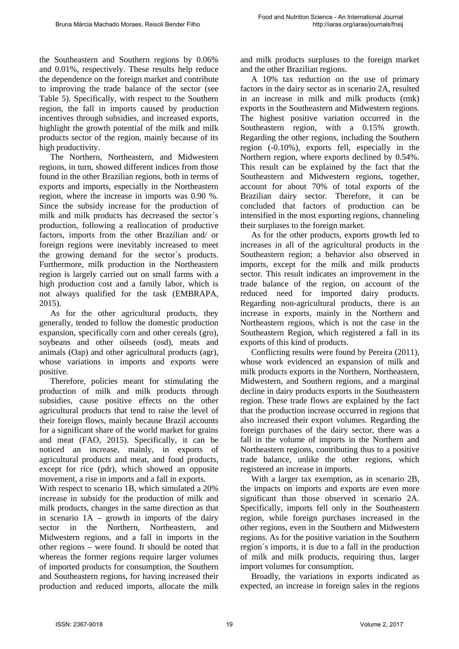the Southeastern and Southern regions by 0.06% and 0.01%, respectively. These results help reduce the dependence on the foreign market and contribute to improving the trade balance of the sector (see Table 5). Specifically, with respect to the Southern region, the fall in imports caused by production incentives through subsidies, and increased exports, highlight the growth potential of the milk and milk products sector of the region, mainly because of its high productivity.

The Northern, Northeastern, and Midwestern regions, in turn, showed different indices from those found in the other Brazilian regions, both in terms of exports and imports, especially in the Northeastern region, where the increase in imports was 0.90 %. Since the subsidy increase for the production of milk and milk products has decreased the sector´s production, following a reallocation of productive factors, imports from the other Brazilian and/ or foreign regions were inevitably increased to meet the growing demand for the sector´s products. Furthermore, milk production in the Northeastern region is largely carried out on small farms with a high production cost and a family labor, which is not always qualified for the task (EMBRAPA, 2015).

As for the other agricultural products, they generally, tended to follow the domestic production expansion, specifically corn and other cereals (gro), soybeans and other oilseeds (osd), meats and animals (Oap) and other agricultural products (agr), whose variations in imports and exports were positive.

Therefore, policies meant for stimulating the production of milk and milk products through subsidies, cause positive effects on the other agricultural products that tend to raise the level of their foreign flows, mainly because Brazil accounts for a significant share of the world market for grains and meat (FAO, 2015). Specifically, it can be noticed an increase, mainly, in exports of agricultural products and meat, and food products, except for rice (pdr), which showed an opposite movement, a rise in imports and a fall in exports.

With respect to scenario 1B, which simulated a 20% increase in subsidy for the production of milk and milk products, changes in the same direction as that in scenario  $1A -$  growth in imports of the dairy sector in the Northern, Northeastern, and Midwestern regions, and a fall in imports in the other regions – were found. It should be noted that whereas the former regions require larger volumes of imported products for consumption, the Southern and Southeastern regions, for having increased their production and reduced imports, allocate the milk and milk products surpluses to the foreign market and the other Brazilian regions.

A 10% tax reduction on the use of primary factors in the dairy sector as in scenario 2A, resulted in an increase in milk and milk products (rmk) exports in the Southeastern and Midwestern regions. The highest positive variation occurred in the Southeastern region, with a 0.15% growth. Regarding the other regions, including the Southern region (-0.10%), exports fell, especially in the Northern region, where exports declined by 0.54%. This result can be explained by the fact that the Southeastern and Midwestern regions, together, account for about 70% of total exports of the Brazilian dairy sector. Therefore, it can be concluded that factors of production can be intensified in the most exporting regions, channeling their surpluses to the foreign market.

As for the other products, exports growth led to increases in all of the agricultural products in the Southeastern region; a behavior also observed in imports, except for the milk and milk products sector. This result indicates an improvement in the trade balance of the region, on account of the reduced need for imported dairy products. Regarding non-agricultural products, there is an increase in exports, mainly in the Northern and Northeastern regions, which is not the case in the Southeastern Region, which registered a fall in its exports of this kind of products.

Conflicting results were found by Pereira (2011), whose work evidenced an expansion of milk and milk products exports in the Northern, Northeastern, Midwestern, and Southern regions, and a marginal decline in dairy products exports in the Southeastern region. These trade flows are explained by the fact that the production increase occurred in regions that also increased their export volumes. Regarding the foreign purchases of the dairy sector, there was a fall in the volume of imports in the Northern and Northeastern regions, contributing thus to a positive trade balance, unlike the other regions, which registered an increase in imports.

With a larger tax exemption, as in scenario 2B, the impacts on imports and exports are even more significant than those observed in scenario 2A. Specifically, imports fell only in the Southeastern region, while foreign purchases increased in the other regions, even in the Southern and Midwestern regions. As for the positive variation in the Southern region´s imports, it is due to a fall in the production of milk and milk products, requiring thus, larger import volumes for consumption.

Broadly, the variations in exports indicated as expected, an increase in foreign sales in the regions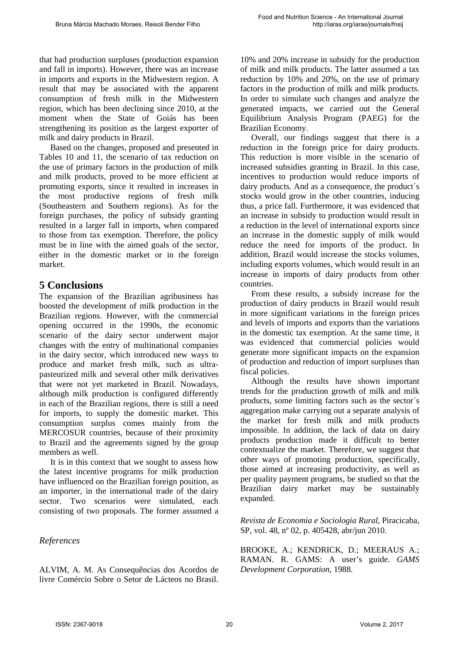that had production surpluses (production expansion and fall in imports). However, there was an increase in imports and exports in the Midwestern region. A result that may be associated with the apparent consumption of fresh milk in the Midwestern region, which has been declining since 2010, at the moment when the State of Goiás has been strengthening its position as the largest exporter of milk and dairy products in Brazil.

Based on the changes, proposed and presented in Tables 10 and 11, the scenario of tax reduction on the use of primary factors in the production of milk and milk products, proved to be more efficient at promoting exports, since it resulted in increases in the most productive regions of fresh milk (Southeastern and Southern regions). As for the foreign purchases, the policy of subsidy granting resulted in a larger fall in imports, when compared to those from tax exemption. Therefore, the policy must be in line with the aimed goals of the sector, either in the domestic market or in the foreign market.

# **5 Conclusions**

The expansion of the Brazilian agribusiness has boosted the development of milk production in the Brazilian regions. However, with the commercial opening occurred in the 1990s, the economic scenario of the dairy sector underwent major changes with the entry of multinational companies in the dairy sector, which introduced new ways to produce and market fresh milk, such as ultrapasteurized milk and several other milk derivatives that were not yet marketed in Brazil. Nowadays, although milk production is configured differently in each of the Brazilian regions, there is still a need for imports, to supply the domestic market. This consumption surplus comes mainly from the MERCOSUR countries, because of their proximity to Brazil and the agreements signed by the group members as well.

It is in this context that we sought to assess how the latest incentive programs for milk production have influenced on the Brazilian foreign position, as an importer, in the international trade of the dairy sector. Two scenarios were simulated, each consisting of two proposals. The former assumed a

#### *References*

ALVIM, A. M. As Consequências dos Acordos de livre Comércio Sobre o Setor de Lácteos no Brasil.

10% and 20% increase in subsidy for the production of milk and milk products. The latter assumed a tax reduction by 10% and 20%, on the use of primary factors in the production of milk and milk products. In order to simulate such changes and analyze the generated impacts, we carried out the General Equilibrium Analysis Program (PAEG) for the Brazilian Economy.

Overall, our findings suggest that there is a reduction in the foreign price for dairy products. This reduction is more visible in the scenario of increased subsidies granting in Brazil. In this case, incentives to production would reduce imports of dairy products. And as a consequence, the product´s stocks would grow in the other countries, inducing thus, a price fall. Furthermore, it was evidenced that an increase in subsidy to production would result in a reduction in the level of international exports since an increase in the domestic supply of milk would reduce the need for imports of the product. In addition, Brazil would increase the stocks volumes, including exports volumes, which would result in an increase in imports of dairy products from other countries.

From these results, a subsidy increase for the production of dairy products in Brazil would result in more significant variations in the foreign prices and levels of imports and exports than the variations in the domestic tax exemption. At the same time, it was evidenced that commercial policies would generate more significant impacts on the expansion of production and reduction of import surpluses than fiscal policies.

Although the results have shown important trends for the production growth of milk and milk products, some limiting factors such as the sector´s aggregation make carrying out a separate analysis of the market for fresh milk and milk products impossible. In addition, the lack of data on dairy products production made it difficult to better contextualize the market. Therefore, we suggest that other ways of promoting production, specifically, those aimed at increasing productivity, as well as per quality payment programs, be studied so that the Brazilian dairy market may be sustainably expanded.

*Revista de Economia e Sociologia Rural*, Piracicaba, SP, vol. 48, nº 02, p. 405428, abr/jun 2010.

BROOKE, A.; KENDRICK, D.; MEERAUS A.; RAMAN. R. GAMS: A user's guide. *GAMS Development Corporation*, 1988.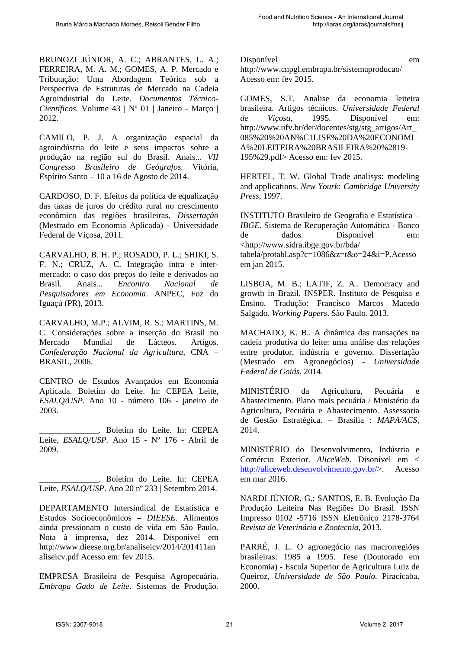BRUNOZI JÚNIOR, A. C.; ABRANTES, L. A.; FERREIRA, M. A. M.; GOMES, A. P. Mercado e Tributação: Uma Abordagem Teórica sob a Perspectiva de Estruturas de Mercado na Cadeia Agroindustrial do Leite. *Documentos Técnico-Científicos.* Volume 43 | Nº 01 | Janeiro - Março | 2012.

CAMILO, P. J. A organização espacial da agroindústria do leite e seus impactos sobre a produção na região sul do Brasil. Anais... *VII Congresso Brasileiro de Geógrafos.* Vitória, Espírito Santo – 10 a 16 de Agosto de 2014.

CARDOSO, D. F. Efeitos da política de equalização das taxas de juros do crédito rural no crescimento econômico das regiões brasileiras. *Dissertação*  (Mestrado em Economia Aplicada) - Universidade Federal de Viçosa, 2011.

CARVALHO, B. H. P.; ROSADO, P. L.; SHIKI, S. F. N.; CRUZ, A. C. Integração intra e intermercado: o caso dos preços do leite e derivados no Brasil. Anais*... Encontro Nacional de Pesquisadores em Economia*. ANPEC, Foz do Iguaçú (PR), 2013.

CARVALHO, M.P.; ALVIM, R. S.; MARTINS, M. C. Considerações sobre a inserção do Brasil no Mercado Mundial de Lácteos. Artigos. *Confederação Nacional da Agricultura,* CNA – BRASIL, 2006.

CENTRO de Estudos Avançados em Economia Aplicada. Boletim do Leite. In: CEPEA Leite, *ESALQ/USP*. Ano 10 - número 106 - janeiro de 2003.

\_\_\_\_\_\_\_\_\_\_\_\_\_\_. Boletim do Leite. In: CEPEA Leite, *ESALQ/USP.* Ano 15 - Nº 176 - Abril de 2009.

\_\_\_\_\_\_\_\_\_\_\_\_\_\_. Boletim do Leite. In: CEPEA Leite, *ESALQ/USP*. Ano 20 nº 233 | Setembro 2014.

DEPARTAMENTO Intersindical de Estatística e Estudos Socioeconômicos – *DIEESE*. Alimentos ainda pressionam o custo de vida em São Paulo. Nota à imprensa, dez 2014. Disponivel em http://www.dieese.org.br/analiseicv/2014/201411an aliseicv.pdf Acesso em: fev 2015.

EMPRESA Brasileira de Pesquisa Agropecuária. *Embrapa Gado de Leite*. Sistemas de Produção. Disponível em http://www.cnpgl.embrapa.br/sistemaproducao/ Acesso em: fev 2015.

GOMES, S.T. Analise da economia leiteira brasileira. Artigos técnicos. *Universidade Federal de Viçosa,* 1995. Disponível em: http://www.ufv.br/der/docentes/stg/stg\_artigos/Art\_ 085%20%20AN%C1LISE%20DA%20ECONOMI A%20LEITEIRA%20BRASILEIRA%20%2819- 195%29.pdf> Acesso em: fev 2015.

HERTEL, T. W. Global Trade analisys: modeling and applications. *New Yourk: Cambridge University Press*, 1997.

INSTITUTO Brasileiro de Geografia e Estatística – *IBGE*. Sistema de Recuperação Automática - Banco de dados. Disponível em: <http://www.sidra.ibge.gov.br/bda/ tabela/protabl.asp?c=1086&z=t&o=24&i=P.Acesso em jan 2015.

LISBOA, M. B.; LATIF, Z. A.. Democracy and growth in Brazil. INSPER. Instituto de Pesquisa e Ensino. Tradução: Francisco Marcos Macedo Salgado*. Working Papers*. São Paulo. 2013.

MACHADO, K. B.. A dinâmica das transações na cadeia produtiva do leite: uma análise das relações entre produtor, indústria e governo. Dissertação (Mestrado em Agronegócios) - *Universidade Federal de Goiás,* 2014.

MINISTÉRIO da Agricultura, Pecuária e Abastecimento. Plano mais pecuária / Ministério da Agricultura, Pecuária e Abastecimento. Assessoria de Gestão Estratégica. – Brasília : *MAPA/ACS,* 2014.

MINISTÉRIO do Desenvolvimento, Indústria e Comércio Exterior. *AliceWeb*. Disonível em < http://aliceweb.desenvolvimento.gov.br/>. Acesso em mar 2016.

NARDI JÚNIOR, G.; SANTOS, E. B. Evolução Da Produção Leiteira Nas Regiões Do Brasil. ISSN Impresso 0102 -5716 ISSN Eletrônico 2178-3764 *Revista de Veterinária e Zootecnia*, 2013.

PARRÉ, J. L. O agronegócio nas macrorregiões brasileiras: 1985 a 1995. Tese (Doutorado em Economia) - Escola Superior de Agricultura Luiz de Queiroz, *Universidade de São Paulo.* Piracicaba, 2000.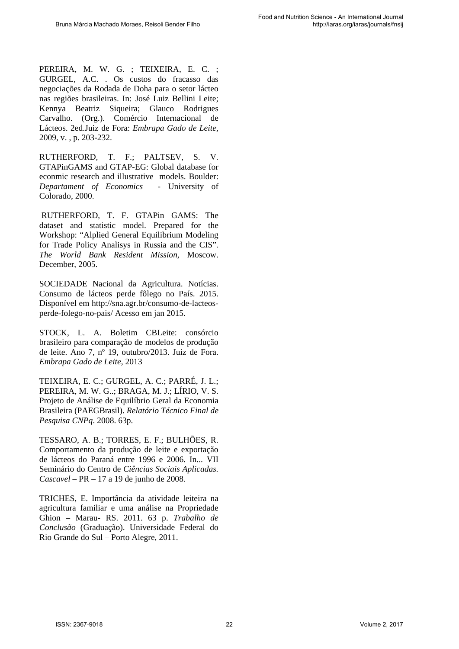PEREIRA, M. W. G. ; TEIXEIRA, E. C. ; GURGEL, A.C. . Os custos do fracasso das negociações da Rodada de Doha para o setor lácteo nas regiões brasileiras. In: José Luiz Bellini Leite; Kennya Beatriz Siqueira; Glauco Rodrigues Carvalho. (Org.). Comércio Internacional de Lácteos. 2ed.Juiz de Fora: *Embrapa Gado de Leite,* 2009, v. , p. 203-232.

RUTHERFORD, T. F.; PALTSEV, S. V. GTAPinGAMS and GTAP-EG: Global database for econmic research and illustrative models. Boulder: *Departament of Economics* - University of Colorado, 2000.

 RUTHERFORD, T. F. GTAPin GAMS: The dataset and statistic model. Prepared for the Workshop: "Alplied General Equilibrium Modeling for Trade Policy Analisys in Russia and the CIS". *The World Bank Resident Mission,* Moscow. December, 2005.

SOCIEDADE Nacional da Agricultura. Notícias. Consumo de lácteos perde fôlego no País. 2015. Disponível em http://sna.agr.br/consumo-de-lacteosperde-folego-no-pais/ Acesso em jan 2015.

STOCK, L. A. Boletim CBLeite: consórcio brasileiro para comparação de modelos de produção de leite. Ano 7, nº 19, outubro/2013. Juiz de Fora. *Embrapa Gado de Leite*, 2013

TEIXEIRA, E. C.; GURGEL, A. C.; PARRÉ, J. L.; PEREIRA, M. W. G..; BRAGA, M. J.; LÍRIO, V. S. Projeto de Análise de Equilíbrio Geral da Economia Brasileira (PAEGBrasil). *Relatório Técnico Final de Pesquisa CNPq*. 2008. 63p.

TESSARO, A. B.; TORRES, E. F.; BULHÕES, R. Comportamento da produção de leite e exportação de lácteos do Paraná entre 1996 e 2006. In... VII Seminário do Centro de *Ciências Sociais Aplicadas. Cascavel –* PR – 17 a 19 de junho de 2008.

TRICHES, E. Importância da atividade leiteira na agricultura familiar e uma análise na Propriedade Ghion – Marau- RS. 2011. 63 p. *Trabalho de Conclusão* (Graduação). Universidade Federal do Rio Grande do Sul – Porto Alegre, 2011.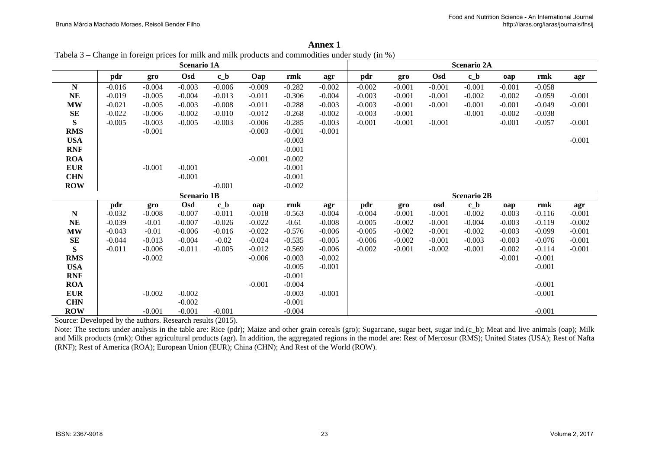| Tabela 5 – Change in foreign prices for third and third products and commodities under study (in %) |          |          |                      |          |          |                      |          |          |          |          |                    |          |          |          |
|-----------------------------------------------------------------------------------------------------|----------|----------|----------------------|----------|----------|----------------------|----------|----------|----------|----------|--------------------|----------|----------|----------|
|                                                                                                     |          |          | Scenario 1A          |          |          | Scenario 2A          |          |          |          |          |                    |          |          |          |
|                                                                                                     | pdr      | gro      | Osd                  | $c_b$    | Oap      | rmk                  | agr      | pdr      | gro      | Osd      | $c_b$              | oap      | rmk      | agr      |
| ${\bf N}$                                                                                           | $-0.016$ | $-0.004$ | $-0.003$             | $-0.006$ | $-0.009$ | $-0.282$             | $-0.002$ | $-0.002$ | $-0.001$ | $-0.001$ | $-0.001$           | $-0.001$ | $-0.058$ |          |
| <b>NE</b>                                                                                           | $-0.019$ | $-0.005$ | $-0.004$             | $-0.013$ | $-0.011$ | $-0.306$             | $-0.004$ | $-0.003$ | $-0.001$ | $-0.001$ | $-0.002$           | $-0.002$ | $-0.059$ | $-0.001$ |
| <b>MW</b>                                                                                           | $-0.021$ | $-0.005$ | $-0.003$             | $-0.008$ | $-0.011$ | $-0.288$             | $-0.003$ | $-0.003$ | $-0.001$ | $-0.001$ | $-0.001$           | $-0.001$ | $-0.049$ | $-0.001$ |
| $\mathbf{SE}$                                                                                       | $-0.022$ | $-0.006$ | $-0.002$             | $-0.010$ | $-0.012$ | $-0.268$             | $-0.002$ | $-0.003$ | $-0.001$ |          | $-0.001$           | $-0.002$ | $-0.038$ |          |
| S                                                                                                   | $-0.005$ | $-0.003$ | $-0.005$             | $-0.003$ | $-0.006$ | $-0.285$             | $-0.003$ | $-0.001$ | $-0.001$ | $-0.001$ |                    | $-0.001$ | $-0.057$ | $-0.001$ |
| <b>RMS</b>                                                                                          |          | $-0.001$ |                      |          | $-0.003$ | $-0.001$             | $-0.001$ |          |          |          |                    |          |          |          |
| <b>USA</b>                                                                                          |          |          |                      |          |          | $-0.003$             |          |          |          |          |                    |          |          | $-0.001$ |
| <b>RNF</b>                                                                                          |          |          |                      |          |          | $-0.001$             |          |          |          |          |                    |          |          |          |
| <b>ROA</b>                                                                                          |          |          |                      |          | $-0.001$ | $-0.002$             |          |          |          |          |                    |          |          |          |
| <b>EUR</b>                                                                                          |          | $-0.001$ | $-0.001$             |          |          | $-0.001$             |          |          |          |          |                    |          |          |          |
| <b>CHN</b>                                                                                          |          |          | $-0.001$             |          |          | $-0.001$             |          |          |          |          |                    |          |          |          |
| <b>ROW</b>                                                                                          |          |          |                      | $-0.001$ |          | $-0.002$             |          |          |          |          |                    |          |          |          |
|                                                                                                     |          |          | <b>Scenario 1B</b>   |          |          |                      |          |          |          |          | <b>Scenario 2B</b> |          |          |          |
|                                                                                                     | pdr      | gro      | Osd                  | $c_b$    | oap      | rmk                  | agr      | pdr      | gro      | osd      | $c_b$              | oap      | rmk      | agr      |
| ${\bf N}$                                                                                           | $-0.032$ | $-0.008$ | $-0.007$             | $-0.011$ | $-0.018$ | $-0.563$             | $-0.004$ | $-0.004$ | $-0.001$ | $-0.001$ | $-0.002$           | $-0.003$ | $-0.116$ | $-0.001$ |
| NE                                                                                                  | $-0.039$ | $-0.01$  | $-0.007$             | $-0.026$ | $-0.022$ | $-0.61$              | $-0.008$ | $-0.005$ | $-0.002$ | $-0.001$ | $-0.004$           | $-0.003$ | $-0.119$ | $-0.002$ |
| <b>MW</b>                                                                                           | $-0.043$ | $-0.01$  | $-0.006$             | $-0.016$ | $-0.022$ | $-0.576$             | $-0.006$ | $-0.005$ | $-0.002$ | $-0.001$ | $-0.002$           | $-0.003$ | $-0.099$ | $-0.001$ |
| ${\bf SE}$                                                                                          | $-0.044$ | $-0.013$ | $-0.004$             | $-0.02$  | $-0.024$ | $-0.535$             | $-0.005$ | $-0.006$ | $-0.002$ | $-0.001$ | $-0.003$           | $-0.003$ | $-0.076$ | $-0.001$ |
| S                                                                                                   | $-0.011$ | $-0.006$ | $-0.011$             | $-0.005$ | $-0.012$ | $-0.569$             | $-0.006$ | $-0.002$ | $-0.001$ | $-0.002$ | $-0.001$           | $-0.002$ | $-0.114$ | $-0.001$ |
| <b>RMS</b>                                                                                          |          | $-0.002$ |                      |          | $-0.006$ | $-0.003$             | $-0.002$ |          |          |          |                    | $-0.001$ | $-0.001$ |          |
| <b>USA</b>                                                                                          |          |          |                      |          |          | $-0.005$             | $-0.001$ |          |          |          |                    |          | $-0.001$ |          |
| <b>RNF</b>                                                                                          |          |          |                      |          |          | $-0.001$             |          |          |          |          |                    |          |          |          |
| <b>ROA</b>                                                                                          |          |          |                      |          | $-0.001$ | $-0.004$             |          |          |          |          |                    |          | $-0.001$ |          |
| <b>EUR</b>                                                                                          |          | $-0.002$ | $-0.002$             |          |          | $-0.003$             | $-0.001$ |          |          |          |                    |          | $-0.001$ |          |
|                                                                                                     |          |          |                      |          |          |                      |          |          |          |          |                    |          |          |          |
| <b>CHN</b><br><b>ROW</b>                                                                            |          | $-0.001$ | $-0.002$<br>$-0.001$ | $-0.001$ |          | $-0.001$<br>$-0.004$ |          |          |          |          |                    |          | $-0.001$ |          |

**Annex 1**   $T_{\text{obole 2}}$  – Change in foreign prices for milk and milk products and commodities under study (in  $\theta$ )

Source: Developed by the authors. Research results (2015).

Note: The sectors under analysis in the table are: Rice (pdr); Maize and other grain cereals (gro); Sugarcane, sugar beet, sugar ind.(c b); Meat and live animals (oap); Milk and Milk products (rmk); Other agricultural products (agr). In addition, the aggregated regions in the model are: Rest of Mercosur (RMS); United States (USA); Rest of Nafta (RNF); Rest of America (ROA); European Union (EUR); China (CHN); And Rest of the World (ROW).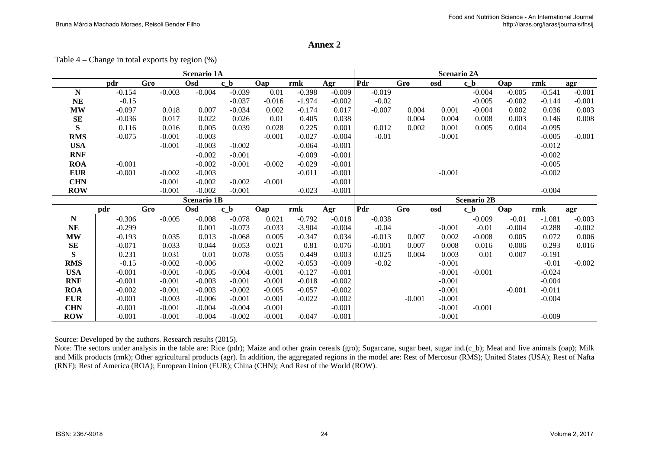#### **Annex 2**

Table 4 – Change in total exports by region (%)

|               |          | Scenario 2A |                    |                |          |          |          |          |          |          |                    |          |          |          |
|---------------|----------|-------------|--------------------|----------------|----------|----------|----------|----------|----------|----------|--------------------|----------|----------|----------|
|               | pdr      | Gro         | Osd                | $c_b$          | Oap      | rmk      | Agr      | Pdr      | Gro      | osd      | $c_b$              | Oap      | rmk      | agr      |
| ${\bf N}$     | $-0.154$ | $-0.003$    | $-0.004$           | $-0.039$       | 0.01     | $-0.398$ | $-0.009$ | $-0.019$ |          |          | $-0.004$           | $-0.005$ | $-0.541$ | $-0.001$ |
| <b>NE</b>     | $-0.15$  |             |                    | $-0.037$       | $-0.016$ | $-1.974$ | $-0.002$ | $-0.02$  |          |          | $-0.005$           | $-0.002$ | $-0.144$ | $-0.001$ |
| <b>MW</b>     | $-0.097$ | 0.018       | 0.007              | $-0.034$       | 0.002    | $-0.174$ | 0.017    | $-0.007$ | 0.004    | 0.001    | $-0.004$           | 0.002    | 0.036    | 0.003    |
| ${\bf SE}$    | $-0.036$ | 0.017       | 0.022              | 0.026          | 0.01     | 0.405    | 0.038    |          | 0.004    | 0.004    | 0.008              | 0.003    | 0.146    | 0.008    |
| ${\bf S}$     | 0.116    | 0.016       | 0.005              | 0.039          | 0.028    | 0.225    | 0.001    | 0.012    | 0.002    | 0.001    | 0.005              | 0.004    | $-0.095$ |          |
| <b>RMS</b>    | $-0.075$ | $-0.001$    | $-0.003$           |                | $-0.001$ | $-0.027$ | $-0.004$ | $-0.01$  |          | $-0.001$ |                    |          | $-0.005$ | $-0.001$ |
| <b>USA</b>    |          | $-0.001$    | $-0.003$           | $-0.002$       |          | $-0.064$ | $-0.001$ |          |          |          |                    |          | $-0.012$ |          |
| <b>RNF</b>    |          |             | $-0.002$           | $-0.001$       |          | $-0.009$ | $-0.001$ |          |          |          |                    |          | $-0.002$ |          |
| <b>ROA</b>    | $-0.001$ |             | $-0.002$           | $-0.001$       | $-0.002$ | $-0.029$ | $-0.001$ |          |          |          |                    |          | $-0.005$ |          |
| <b>EUR</b>    | $-0.001$ | $-0.002$    | $-0.003$           |                |          | $-0.011$ | $-0.001$ |          |          | $-0.001$ |                    |          | $-0.002$ |          |
| <b>CHN</b>    |          | $-0.001$    | $-0.002$           | $-0.002$       | $-0.001$ |          | $-0.001$ |          |          |          |                    |          |          |          |
| <b>ROW</b>    |          | $-0.001$    | $-0.002$           | $-0.001$       |          | $-0.023$ | $-0.001$ |          |          |          |                    |          | $-0.004$ |          |
|               |          |             | <b>Scenario 1B</b> |                |          |          |          |          |          |          | <b>Scenario 2B</b> |          |          |          |
|               | pdr      | Gro         | Osd                | c <sub>b</sub> | Oap      | rmk      | Agr      | Pdr      | Gro      | osd      | $c_b$              | Oap      | rmk      | agr      |
| ${\bf N}$     | $-0.306$ | $-0.005$    | $-0.008$           | $-0.078$       | 0.021    | $-0.792$ | $-0.018$ | $-0.038$ |          |          | $-0.009$           | $-0.01$  | $-1.081$ | $-0.003$ |
| NE            | $-0.299$ |             | 0.001              | $-0.073$       | $-0.033$ | $-3.904$ | $-0.004$ | $-0.04$  |          | $-0.001$ | $-0.01$            | $-0.004$ | $-0.288$ | $-0.002$ |
| $\mathbf{MW}$ | $-0.193$ | 0.035       | 0.013              | $-0.068$       | 0.005    | $-0.347$ | 0.034    | $-0.013$ | 0.007    | 0.002    | $-0.008$           | 0.005    | 0.072    | 0.006    |
| $\mathbf{SE}$ | $-0.071$ | 0.033       | 0.044              | 0.053          | 0.021    | 0.81     | 0.076    | $-0.001$ | 0.007    | 0.008    | 0.016              | 0.006    | 0.293    | 0.016    |
| S             | 0.231    | 0.031       | 0.01               | 0.078          | 0.055    | 0.449    | 0.003    | 0.025    | 0.004    | 0.003    | 0.01               | 0.007    | $-0.191$ |          |
| <b>RMS</b>    | $-0.15$  | $-0.002$    | $-0.006$           |                | $-0.002$ | $-0.053$ | $-0.009$ | $-0.02$  |          | $-0.001$ |                    |          | $-0.01$  | $-0.002$ |
| <b>USA</b>    | $-0.001$ | $-0.001$    | $-0.005$           | $-0.004$       | $-0.001$ | $-0.127$ | $-0.001$ |          |          | $-0.001$ | $-0.001$           |          | $-0.024$ |          |
| <b>RNF</b>    | $-0.001$ | $-0.001$    | $-0.003$           | $-0.001$       | $-0.001$ | $-0.018$ | $-0.002$ |          |          | $-0.001$ |                    |          | $-0.004$ |          |
| <b>ROA</b>    | $-0.002$ | $-0.001$    | $-0.003$           | $-0.002$       | $-0.005$ | $-0.057$ | $-0.002$ |          |          | $-0.001$ |                    | $-0.001$ | $-0.011$ |          |
| <b>EUR</b>    | $-0.001$ | $-0.003$    | $-0.006$           | $-0.001$       | $-0.001$ | $-0.022$ | $-0.002$ |          | $-0.001$ | $-0.001$ |                    |          | $-0.004$ |          |
| <b>CHN</b>    | $-0.001$ | $-0.001$    | $-0.004$           | $-0.004$       | $-0.001$ |          | $-0.001$ |          |          | $-0.001$ | $-0.001$           |          |          |          |
| <b>ROW</b>    | $-0.001$ | $-0.001$    | $-0.004$           | $-0.002$       | $-0.001$ | $-0.047$ | $-0.001$ |          |          | $-0.001$ |                    |          | $-0.009$ |          |

Source: Developed by the authors. Research results (2015).

Note: The sectors under analysis in the table are: Rice (pdr); Maize and other grain cereals (gro); Sugarcane, sugar beet, sugar ind.(c\_b); Meat and live animals (oap); Milk and Milk products (rmk); Other agricultural products (agr). In addition, the aggregated regions in the model are: Rest of Mercosur (RMS); United States (USA); Rest of Nafta (RNF); Rest of America (ROA); European Union (EUR); China (CHN); And Rest of the World (ROW).